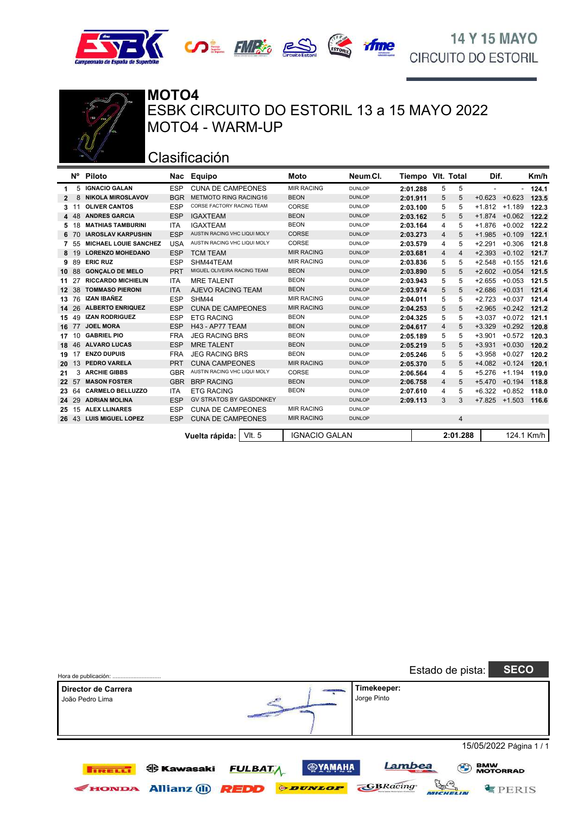





**MOTO4** ESBK CIRCUITO DO ESTORIL 13 a 15 MAYO 2022 MOTO4 - WARM-UP

# Clasificación

|                 | N°                       | <b>Piloto</b>                | Nac                  | <b>Equipo</b>                  | Moto              | Neum Cl.      |          |            | Tiempo VIt. Total | Dif.           |          | Km/h  |
|-----------------|--------------------------|------------------------------|----------------------|--------------------------------|-------------------|---------------|----------|------------|-------------------|----------------|----------|-------|
| 1               | 5                        | <b>IGNACIO GALAN</b>         | <b>ESP</b>           | <b>CUNA DE CAMPEONES</b>       | <b>MIR RACING</b> | DUNLOP        | 2:01.288 | 5          | 5                 | $\blacksquare$ |          | 124.1 |
| 2               | 8                        | <b>NIKOLA MIROSLAVOV</b>     | <b>BGR</b>           | <b>METMOTO RING RACING16</b>   | <b>BEON</b>       | <b>DUNLOP</b> | 2:01.911 | 5          | 5                 | $+0.623$       | $+0.623$ | 123.5 |
| 3               |                          | <b>OLIVER CANTOS</b>         | <b>ESP</b>           | CORSE FACTORY RACING TEAM      | CORSE             | <b>DUNLOP</b> | 2:03.100 | 5          | 5                 | $+1.812$       | $+1.189$ | 122.3 |
| 4               | 48                       | <b>ANDRES GARCIA</b>         | <b>ESP</b>           | <b>IGAXTEAM</b>                | <b>BEON</b>       | <b>DUNLOP</b> | 2:03.162 | 5          | 5                 | $+1.874$       | $+0.062$ | 122.2 |
| 5               | 18                       | <b>MATHIAS TAMBURINI</b>     | <b>ITA</b>           | <b>IGAXTEAM</b>                | <b>BEON</b>       | <b>DUNLOP</b> | 2:03.164 | 4          | 5                 | $+1.876$       | $+0.002$ | 122.2 |
| 6               | 70                       | <b>IAROSLAV KARPUSHIN</b>    | <b>ESP</b>           | AUSTIN RACING VHC LIQUI MOLY   | <b>CORSE</b>      | <b>DUNLOP</b> | 2:03.273 | 4          | 5                 | $+1.985$       | $+0.109$ | 122.1 |
| 7               | 55                       | <b>MICHAEL LOUIE SANCHEZ</b> | <b>USA</b>           | AUSTIN RACING VHC LIQUI MOLY   | CORSE             | <b>DUNLOP</b> | 2:03.579 | 4          | 5                 | $+2.291$       | $+0.306$ | 121.8 |
| 8               | 19                       | <b>LORENZO MOHEDANO</b>      | <b>ESP</b>           | TCM TEAM                       | <b>MIR RACING</b> | <b>DUNLOP</b> | 2:03.681 | 4          | 4                 | $+2.393$       | $+0.102$ | 121.7 |
| 9               | -89                      | <b>ERIC RUZ</b>              | <b>ESP</b>           | SHM44TEAM                      | <b>MIR RACING</b> | <b>DUNLOP</b> | 2:03.836 | 5          | 5                 | $+2.548$       | $+0.155$ | 121.6 |
| 10 <sup>1</sup> | 88                       | <b>GONÇALO DE MELO</b>       | <b>PRT</b>           | MIGUEL OLIVEIRA RACING TEAM    | <b>BEON</b>       | <b>DUNLOP</b> | 2:03.890 | 5          | 5                 | $+2.602$       | $+0.054$ | 121.5 |
| 11              |                          | <b>RICCARDO MICHIELIN</b>    | <b>ITA</b>           | <b>MRE TALENT</b>              | <b>BEON</b>       | <b>DUNLOP</b> | 2:03.943 | 5          | 5                 | $+2.655$       | $+0.053$ | 121.5 |
| 12 <sup>2</sup> | 38                       | <b>TOMMASO PIERONI</b>       | <b>ITA</b>           | AJEVO RACING TEAM              | <b>BEON</b>       | <b>DUNLOP</b> | 2:03.974 | 5          | 5                 | $+2.686$       | $+0.031$ | 121.4 |
| 13              | 76                       | <b>IZAN IBAÑEZ</b>           | <b>ESP</b>           | SHM44                          | <b>MIR RACING</b> | <b>DUNLOP</b> | 2:04.011 | 5          | 5                 | $+2.723$       | $+0.037$ | 121.4 |
| 14              | 26                       | <b>ALBERTO ENRIQUEZ</b>      | <b>ESP</b>           | <b>CUNA DE CAMPEONES</b>       | <b>MIR RACING</b> | <b>DUNLOP</b> | 2:04.253 | 5          | 5                 | $+2.965$       | $+0.242$ | 121.2 |
| 15              | 49                       | <b>IZAN RODRIGUEZ</b>        | <b>ESP</b>           | <b>ETG RACING</b>              | <b>BEON</b>       | <b>DUNLOP</b> | 2:04.325 | 5          | 5                 | $+3.037$       | $+0.072$ | 121.1 |
| 16              | 77                       | <b>JOEL MORA</b>             | <b>ESP</b>           | <b>H43 - AP77 TEAM</b>         | <b>BEON</b>       | <b>DUNLOP</b> | 2:04.617 | 4          | 5                 | $+3.329$       | $+0.292$ | 120.8 |
| 17              | 10                       | <b>GABRIEL PIO</b>           | <b>FRA</b>           | <b>JEG RACING BRS</b>          | <b>BEON</b>       | <b>DUNLOP</b> | 2:05.189 | 5          | 5                 | $+3.901$       | $+0.572$ | 120.3 |
| 18              | 46                       | <b>ALVARO LUCAS</b>          | <b>ESP</b>           | <b>MRE TALENT</b>              | <b>BEON</b>       | <b>DUNLOP</b> | 2:05.219 | 5          | 5                 | $+3.931$       | $+0.030$ | 120.2 |
| 19              | 17                       | <b>ENZO DUPUIS</b>           | <b>FRA</b>           | <b>JEG RACING BRS</b>          | <b>BEON</b>       | <b>DUNLOP</b> | 2:05.246 | 5          | 5                 | $+3.958$       | $+0.027$ | 120.2 |
| 20              | 13                       | <b>PEDRO VARELA</b>          | <b>PRT</b>           | <b>CUNA CAMPEONES</b>          | <b>MIR RACING</b> | <b>DUNLOP</b> | 2:05.370 | 5          | 5                 | $+4.082$       | $+0.124$ | 120.1 |
| 21              | 3                        | <b>ARCHIE GIBBS</b>          | <b>GBR</b>           | AUSTIN RACING VHC LIQUI MOLY   | CORSE             | <b>DUNLOP</b> | 2:06.564 | 4          | 5                 | $+5.276$       | $+1.194$ | 119.0 |
| 22              | 57                       | <b>MASON FOSTER</b>          | <b>GBR</b>           | <b>BRP RACING</b>              | <b>BEON</b>       | <b>DUNLOP</b> | 2:06.758 | 4          | 5                 | $+5.470$       | $+0.194$ | 118.8 |
| 23              | 64                       | <b>CARMELO BELLUZZO</b>      | <b>ITA</b>           | <b>ETG RACING</b>              | <b>BEON</b>       | DUNLOP        | 2:07.610 | 4          | 5                 | $+6.322$       | $+0.852$ | 118.0 |
| 24              | 29                       | <b>ADRIAN MOLINA</b>         | <b>ESP</b>           | <b>GV STRATOS BY GASDONKEY</b> |                   | <b>DUNLOP</b> | 2:09.113 | 3          | 3                 | $+7.825$       | $+1.503$ | 116.6 |
| 25              | 15                       | <b>ALEX LLINARES</b>         | <b>ESP</b>           | <b>CUNA DE CAMPEONES</b>       | <b>MIR RACING</b> | <b>DUNLOP</b> |          |            |                   |                |          |       |
| 26 43           |                          | <b>LUIS MIGUEL LOPEZ</b>     | <b>ESP</b>           | <b>CUNA DE CAMPEONES</b>       | <b>MIR RACING</b> | <b>DUNLOP</b> |          |            | 4                 |                |          |       |
|                 |                          |                              |                      |                                |                   |               |          |            |                   |                |          |       |
|                 | VIt. 5<br>Vuelta rápida: |                              | <b>IGNACIO GALAN</b> |                                | 2:01.288          |               |          | 124.1 Km/h |                   |                |          |       |

| Hora de publicación:                   |                                           |                               |                                         |                            | Estado de pista:     | <b>SECO</b>                              |
|----------------------------------------|-------------------------------------------|-------------------------------|-----------------------------------------|----------------------------|----------------------|------------------------------------------|
| Director de Carrera<br>João Pedro Lima |                                           |                               |                                         | Timekeeper:<br>Jorge Pinto |                      |                                          |
|                                        |                                           |                               |                                         |                            |                      | 15/05/2022 Página 1 / 1                  |
| <b>TRELLI</b><br><b>FIONDA</b>         | <b>ed Kawasaki</b><br><b>Allianz (ii)</b> | <b>FULBATA</b><br><b>REDD</b> | <b>®УАМАНА</b><br><b><i>ODUNLOP</i></b> | <b>GBRacing</b>            | Lambea<br>$\sqrt{2}$ | <b>BMW<br/>MOTORRAD</b><br><b>专PERIS</b> |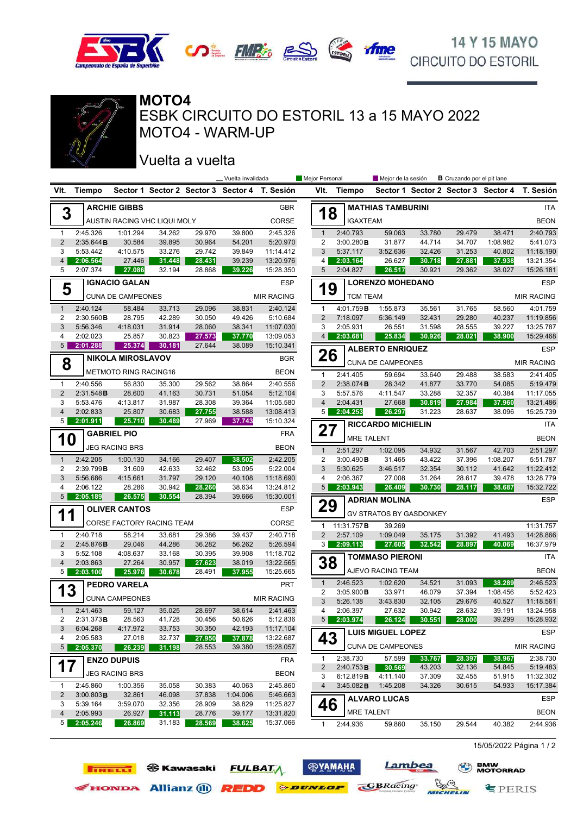



## **14 Y 15 MAYO CIRCUITO DO ESTORIL**



MOTO4 - WARM-UP ESBK CIRCUITO DO ESTORIL 13 a 15 MAYO 2022 **MOTO4**

#### Vuelta a vuelta

**TIRELLI ED** Kawasaki

|                     |                       |                              |                  |                  | __ Vuelta invalidada                          | Mejor Personal         |                     | Mejor de la sesión<br><b>B</b> Cruzando por el pit lane |                           |                  |                  |                    |                                               |  |  |
|---------------------|-----------------------|------------------------------|------------------|------------------|-----------------------------------------------|------------------------|---------------------|---------------------------------------------------------|---------------------------|------------------|------------------|--------------------|-----------------------------------------------|--|--|
| VIt.                | Tiempo                |                              |                  |                  | Sector 1 Sector 2 Sector 3 Sector 4 T. Sesión |                        | VIt.                | Tiempo                                                  |                           |                  |                  |                    | Sector 1 Sector 2 Sector 3 Sector 4 T. Sesión |  |  |
|                     |                       | <b>ARCHIE GIBBS</b>          |                  |                  |                                               | <b>GBR</b>             |                     |                                                         | <b>MATHIAS TAMBURINI</b>  |                  |                  |                    | <b>ITA</b>                                    |  |  |
| 3                   |                       | AUSTIN RACING VHC LIQUI MOLY |                  |                  |                                               | CORSE                  | 18                  | <b>IGAXTEAM</b>                                         |                           |                  |                  |                    | <b>BEON</b>                                   |  |  |
| $\mathbf{1}$        | 2:45.326              | 1:01.294                     | 34.262           | 29.970           | 39.800                                        | 2:45.326               | $\mathbf{1}$        | 2:40.793                                                | 59.063                    | 33.780           | 29.479           | 38.471             | 2:40.793                                      |  |  |
| $\overline{2}$      | 2:35.644B             | 30.584                       | 39.895           | 30.964           | 54.201                                        | 5:20.970               | 2                   | 3:00.280 B                                              | 31.877                    | 44.714           | 34.707           | 1:08.982           | 5:41.073                                      |  |  |
| 3                   | 5:53.442              | 4:10.575                     | 33.276           | 29.742           | 39.849                                        | 11:14.412              | 3                   | 5:37.117                                                | 3:52.636                  | 32.426           | 31.253           | 40.802             | 11:18.190                                     |  |  |
| $\overline{4}$      | 2:06.564              | 27.446                       | 31.448           | 28.431           | 39.239                                        | 13:20.976              | 4                   | 2:03.164                                                | 26.627                    | 30.718           | 27.881           | 37.938             | 13:21.354                                     |  |  |
| 5                   | 2:07.374              | 27.086                       | 32.194           | 28.868           | 39.226                                        | 15:28.350              | 5                   | 2:04.827                                                | 26.517                    | 30.921           | 29.362           | 38.027             | 15:26.181                                     |  |  |
| 5                   |                       | <b>IGNACIO GALAN</b>         |                  |                  |                                               | <b>ESP</b>             | 19                  |                                                         | <b>LORENZO MOHEDANO</b>   |                  |                  |                    | <b>ESP</b>                                    |  |  |
|                     |                       | <b>CUNA DE CAMPEONES</b>     |                  |                  |                                               | <b>MIR RACING</b>      |                     | <b>TCM TEAM</b>                                         |                           |                  |                  |                    | <b>MIR RACING</b>                             |  |  |
| $\mathbf{1}$        | 2:40.124              | 58.484                       | 33.713           | 29.096           | 38.831                                        | 2:40.124               | $\mathbf{1}$        | 4:01.759B                                               | 1:55.873                  | 35.561           | 31.765           | 58.560             | 4:01.759                                      |  |  |
| $\overline{2}$      | 2:30.560B             | 28.795                       | 42.289           | 30.050           | 49.426                                        | 5:10.684               | 2                   | 7:18.097                                                | 5:36.149                  | 32.431           | 29.280           | 40.237             | 11:19.856                                     |  |  |
| 3<br>4              | 5:56.346<br>2:02.023  | 4:18.031<br>25.857           | 31.914<br>30.823 | 28.060<br>27.573 | 38.341<br>37.770                              | 11:07.030<br>13:09.053 | 3<br>4              | 2:05.931<br>2:03.681                                    | 26.551                    | 31.598<br>30.926 | 28.555<br>28.021 | 39.227             | 13:25.787<br>15:29.468                        |  |  |
| 5 <sup>5</sup>      | 2:01.288              | 25.374                       | 30.181           | 27.644           | 38.089                                        | 15:10.341              |                     |                                                         | 25.834                    |                  |                  | 38.900             |                                               |  |  |
|                     |                       | <b>NIKOLA MIROSLAVOV</b>     |                  |                  |                                               | <b>BGR</b>             | 26                  |                                                         | <b>ALBERTO ENRIQUEZ</b>   |                  |                  | <b>ESP</b>         |                                               |  |  |
| 8                   |                       |                              |                  |                  |                                               |                        |                     |                                                         | <b>CUNA DE CAMPEONES</b>  |                  |                  |                    | <b>MIR RACING</b>                             |  |  |
|                     |                       | <b>METMOTO RING RACING16</b> |                  |                  |                                               | <b>BEON</b>            | $\mathbf{1}$        | 2:41.405                                                | 59.694                    | 33.640           | 29.488           | 38.583             | 2:41.405                                      |  |  |
| $\mathbf{1}$        | 2:40.556              | 56.830                       | 35.300           | 29.562           | 38.864                                        | 2:40.556               | $\overline{2}$      | 2:38.074B                                               | 28.342                    | 41.877           | 33.770           | 54.085             | 5:19.479                                      |  |  |
| $\overline{2}$      | 2:31.548B             | 28.600                       | 41.163           | 30.731           | 51.054                                        | 5:12.104               | 3                   | 5:57.576                                                | 4:11.547                  | 33.288           | 32.357           | 40.384             | 11:17.055                                     |  |  |
| 3<br>$\overline{4}$ | 5:53.476<br>2:02.833  | 4:13.817<br>25.807           | 31.987<br>30.683 | 28.308<br>27.755 | 39.364<br>38.588                              | 11:05.580<br>13:08.413 | $\overline{4}$<br>5 | 2:04.431<br>2:04.253                                    | 27.668<br>26.297          | 30.819<br>31.223 | 27.984<br>28.637 | 37.960<br>38.096   | 13:21.486<br>15:25.739                        |  |  |
| 5                   | 2:01.911              | 25.710                       | 30.489           | 27.969           | 37.743                                        | 15:10.324              |                     |                                                         |                           |                  |                  |                    |                                               |  |  |
|                     |                       | <b>GABRIEL PIO</b>           |                  |                  |                                               | <b>FRA</b>             | 27                  |                                                         | <b>RICCARDO MICHIELIN</b> |                  |                  |                    | <b>ITA</b>                                    |  |  |
| 10                  |                       | <b>JEG RACING BRS</b>        |                  |                  |                                               | <b>BEON</b>            |                     | <b>MRE TALENT</b>                                       |                           |                  |                  |                    | <b>BEON</b>                                   |  |  |
| $\mathbf{1}$        | 2:42.205              | 1:00.130                     | 34.166           | 29.407           | 38.502                                        | 2:42.205               | $\mathbf{1}$<br>2   | 2:51.297<br>3:00.490B                                   | 1:02.095<br>31.465        | 34.932<br>43.422 | 31.567<br>37.396 | 42.703<br>1:08.207 | 2:51.297<br>5:51.787                          |  |  |
| 2                   | 2:39.799B             | 31.609                       | 42.633           | 32.462           | 53.095                                        | 5:22.004               | 3                   | 5:30.625                                                | 3:46.517                  | 32.354           | 30.112           | 41.642             | 11:22.412                                     |  |  |
| 3                   | 5:56.686              | 4:15.661                     | 31.797           | 29.120           | 40.108                                        | 11:18.690              | 4                   | 2:06.367                                                | 27.008                    | 31.264           | 28.617           | 39.478             | 13:28.779                                     |  |  |
| 4                   | 2:06.122              | 28.286                       | 30.942           | 28.260           | 38.634                                        | 13:24.812              | 5                   | 2:03.943                                                | 26.409                    | 30.730           | 28.117           | 38.687             | 15:32.722                                     |  |  |
| 5                   | 2:05.189              | 26.575                       | 30.554           | 28.394           | 39.666                                        | 15:30.001              |                     |                                                         | <b>ADRIAN MOLINA</b>      |                  |                  |                    | <b>ESP</b>                                    |  |  |
|                     |                       | <b>OLIVER CANTOS</b>         |                  |                  | 29<br><b>ESP</b>                              |                        |                     | GV STRATOS BY GASDONKEY                                 |                           |                  |                  |                    |                                               |  |  |
| 11                  |                       | CORSE FACTORY RACING TEAM    |                  |                  |                                               | CORSE                  |                     |                                                         |                           |                  |                  |                    |                                               |  |  |
| $\mathbf{1}$        | 2:40.718              |                              |                  |                  |                                               | 2:40.718               | $\mathbf{1}$        | 11:31.757B                                              | 39.269                    |                  |                  |                    | 11:31.757                                     |  |  |
| $\overline{2}$      | 2:45.876B             | 58.214<br>29.046             | 33.681<br>44.286 | 29.386<br>36.282 | 39.437<br>56.262                              | 5:26.594               | $\overline{2}$<br>3 | 2:57.109<br>2:09.113                                    | 1:09.049<br>27.605        | 35.175<br>32.542 | 31.392<br>28.897 | 41.493<br>40.069   | 14:28.866<br>16:37.979                        |  |  |
| 3                   | 5:52.108              | 4:08.637                     | 33.168           | 30.395           | 39.908                                        | 11:18.702              |                     |                                                         |                           |                  |                  |                    |                                               |  |  |
| $\overline{4}$      | 2:03.863              | 27.264                       | 30.957           | 27.623           | 38.019                                        | 13:22.565              | 38                  |                                                         | <b>TOMMASO PIERONI</b>    |                  |                  |                    | <b>ITA</b>                                    |  |  |
| 5                   | 2:03.100              | 25.976                       | 30.678           | 28.491           | 37.955                                        | 15:25.665              |                     |                                                         | AJEVO RACING TEAM         |                  |                  |                    | <b>BEON</b>                                   |  |  |
|                     |                       | <b>PEDRO VARELA</b>          |                  |                  |                                               | <b>PRT</b>             | $\mathbf{1}$        | 2:46.523                                                | 1:02.620                  | 34.521           | 31.093           | 38.289             | 2:46.523                                      |  |  |
| 13                  |                       | <b>CUNA CAMPEONES</b>        |                  |                  |                                               | <b>MIR RACING</b>      | 2                   | 3:05.900 B                                              | 33.971                    | 46.079           | 37.394           | 1:08.456           | 5:52.423                                      |  |  |
|                     |                       |                              | 35.025           |                  |                                               |                        | 3                   | 5:26.138                                                | 3:43.830                  | 32.105<br>30.942 | 29.676           | 40.527             | 11:18.561                                     |  |  |
| 1<br>2              | 2:41.463<br>2:31.373B | 59.127<br>28.563             | 41.728           | 28.697<br>30.456 | 38.614<br>50.626                              | 2:41.463<br>5:12.836   | 4<br>5 <sup>5</sup> | 2:06.397<br>2:03.974                                    | 27.632<br>26.124          | 30.551           | 28.632<br>28.000 | 39.191<br>39.299   | 13:24.958<br>15:28.932                        |  |  |
| 3                   | 6:04.268              | 4:17.972                     | 33.753           | 30.350           | 42.193                                        | 11:17.104              |                     |                                                         |                           |                  |                  |                    |                                               |  |  |
| 4                   | 2:05.583              | 27.018                       | 32.737           | 27.950           | 37.878                                        | 13:22.687              | 43                  |                                                         | <b>LUIS MIGUEL LOPEZ</b>  |                  |                  |                    | ESP                                           |  |  |
| 5                   | 2:05.370              | 26.239                       | 31.198           | 28.553           | 39.380                                        | 15:28.057              |                     |                                                         | <b>CUNA DE CAMPEONES</b>  |                  |                  |                    | <b>MIR RACING</b>                             |  |  |
|                     |                       | <b>ENZO DUPUIS</b>           |                  |                  |                                               | <b>FRA</b>             | 1                   | 2:38.730                                                | 57.599                    | 33.767           | 28.397           | 38.967             | 2:38.730                                      |  |  |
| 17                  |                       | <b>JEG RACING BRS</b>        |                  |                  |                                               | <b>BEON</b>            | $\overline{2}$      | 2:40.753 B                                              | 30.569                    | 43.203           | 32.136           | 54.845             | 5:19.483                                      |  |  |
|                     |                       |                              |                  |                  |                                               | 2:45.860               | 3                   | 6:12.819B                                               | 4:11.140                  | 37.309           | 32.455           | 51.915             | 11:32.302                                     |  |  |
| 1<br>$\overline{2}$ | 2:45.860<br>3:00.803B | 1:00.356<br>32.861           | 35.058<br>46.098 | 30.383<br>37.838 | 40.063<br>1:04.006                            | 5:46.663               | 4                   | 3:45.082 B                                              | 1:45.208                  | 34.326           | 30.615           | 54.933             | 15:17.384                                     |  |  |
| 3                   | 5:39.164              | 3:59.070                     | 32.356           | 28.909           | 38.829                                        | 11:25.827              | 46                  |                                                         | <b>ALVARO LUCAS</b>       |                  |                  |                    | <b>ESP</b>                                    |  |  |
| $\overline{4}$      | 2:05.993              | 26.927                       | 31.113           | 28.776           | 39.177                                        | 13:31.820              |                     | <b>MRE TALENT</b>                                       |                           |                  |                  |                    | <b>BEON</b>                                   |  |  |
| 5                   | 2:05.246              | 26.869                       | 31.183           | 28.569           | 38.625                                        | 15:37.066              | $\mathbf{1}$        | 2:44.936                                                | 59.860                    | 35.150           | 29.544           | 40.382             | 2:44.936                                      |  |  |

**<b>SYAMAHA** 

**FULBATA** 

Exercise Allianz (1) REDD SPUNLOR CBRacing

Lambea

MICHELIN

15/05/2022 Página 1 / 2

**专PERIS** 

**BMW**<br>MOTORRAD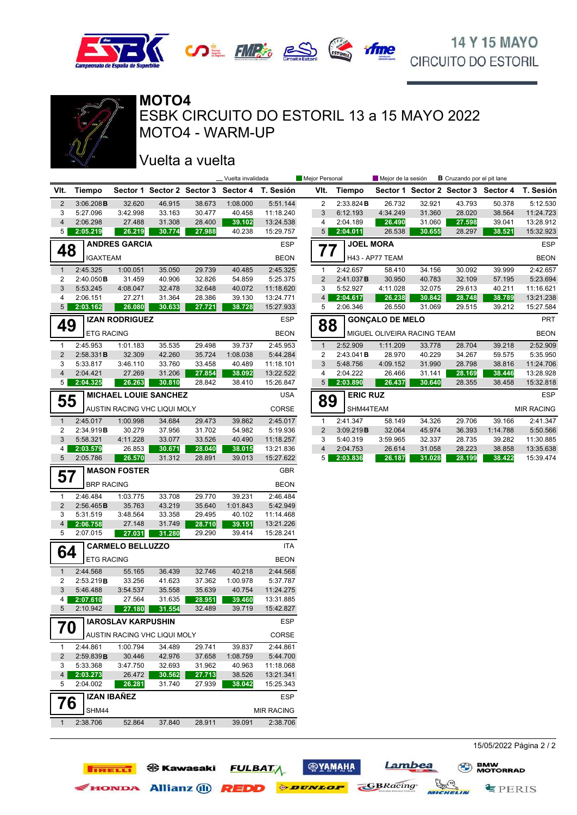



# **14 Y 15 MAYO** CIRCUITO DO ESTORIL



MOTO4 - WARM-UP ESBK CIRCUITO DO ESTORIL 13 a 15 MAYO 2022 **MOTO4**

# Vuelta a vuelta

**ed Kawasaki** 

EHONDA Allianz (1) **REDD** *PUNLOP* 

**TRELL!** 

|                         |                       |                           |                              | Mejor Personal<br>Mejor de la sesión<br>_Vuelta invalidada |                    |                                               |                         | <b>B</b> Cruzando por el pit lane |                             |                  |                  |                                               |                        |
|-------------------------|-----------------------|---------------------------|------------------------------|------------------------------------------------------------|--------------------|-----------------------------------------------|-------------------------|-----------------------------------|-----------------------------|------------------|------------------|-----------------------------------------------|------------------------|
| VIt.                    | <b>Tiempo</b>         |                           |                              |                                                            |                    | Sector 1 Sector 2 Sector 3 Sector 4 T. Sesión |                         | VIt. Tiempo                       |                             |                  |                  | Sector 1 Sector 2 Sector 3 Sector 4 T. Sesión |                        |
| $\overline{2}$          | 3:06.208B             | 32.620                    | 46.915                       | 38.673                                                     | 1:08.000           | 5:51.144                                      | 2                       | 2:33.824 B                        | 26.732                      | 32.921           | 43.793           | 50.378                                        | 5:12.530               |
| 3                       | 5:27.096              | 3:42.998                  | 33.163                       | 30.477                                                     | 40.458             | 11:18.240                                     | $\sqrt{3}$              | 6:12.193                          | 4:34.249                    | 31.360           | 28.020           | 38.564                                        | 11:24.723              |
| 4                       | 2:06.298              | 27.488                    | 31.308                       | 28.400                                                     | 39.102             | 13:24.538                                     | 4                       | 2:04.189                          | 26.490                      | 31.060           | 27.598           | 39.041                                        | 13:28.912              |
| 5                       | 2:05.219              | 26.219                    | 30.774                       | 27.988                                                     | 40.238             | 15:29.757                                     | 5 <sub>1</sub>          | 2:04.011                          | 26.538                      | 30.655           | 28.297           | 38.521                                        | 15:32.923              |
| 48                      |                       | <b>ANDRES GARCIA</b>      |                              |                                                            |                    | <b>ESP</b>                                    | 77                      | <b>JOEL MORA</b>                  |                             |                  |                  |                                               | <b>ESP</b>             |
|                         | <b>IGAXTEAM</b>       |                           |                              |                                                            |                    | <b>BEON</b>                                   |                         |                                   | <b>H43 - AP77 TEAM</b>      |                  |                  |                                               | <b>BEON</b>            |
| $\mathbf{1}$            | 2:45.325              | 1:00.051                  | 35.050                       | 29.739                                                     | 40.485             | 2:45.325                                      | $\mathbf{1}$            | 2:42.657                          | 58.410                      | 34.156           | 30.092           | 39.999                                        | 2:42.657               |
| 2                       | 2:40.050B             | 31.459                    | 40.906                       | 32.826                                                     | 54.859             | 5:25.375                                      | $\overline{\mathbf{c}}$ | 2:41.037B                         | 30.950                      | 40.783           | 32.109           | 57.195                                        | 5:23.694               |
| 3                       | 5:53.245              | 4:08.047                  | 32.478                       | 32.648                                                     | 40.072             | 11:18.620                                     | 3                       | 5:52.927                          | 4:11.028                    | 32.075           | 29.613           | 40.211                                        | 11:16.621              |
| 4<br>5 <sup>5</sup>     | 2:06.151<br>2:03.162  | 27.271<br>26.080          | 31.364<br>30.633             | 28.386<br>27.721                                           | 39.130<br>38.728   | 13:24.771<br>15:27.933                        | 4 <sup>1</sup><br>5     | 2:04.617<br>2:06.346              | 26.238<br>26.550            | 30.842<br>31.069 | 28.748<br>29.515 | 38.789<br>39.212                              | 13:21.238<br>15:27.584 |
|                         |                       |                           |                              |                                                            |                    |                                               |                         |                                   |                             |                  |                  |                                               |                        |
| 49                      |                       | <b>IZAN RODRIGUEZ</b>     |                              |                                                            |                    | <b>ESP</b>                                    | 88                      |                                   | <b>GONÇALO DE MELO</b>      |                  |                  |                                               | <b>PRT</b>             |
|                         | <b>ETG RACING</b>     |                           |                              |                                                            |                    | <b>BEON</b>                                   |                         |                                   | MIGUEL OLIVEIRA RACING TEAM |                  |                  |                                               | <b>BEON</b>            |
| $\mathbf{1}$            | 2:45.953              | 1:01.183                  | 35.535                       | 29.498                                                     | 39.737             | 2:45.953                                      | $\mathbf{1}$            | 2:52.909                          | 1:11.209                    | 33.778           | 28.704           | 39.218                                        | 2:52.909               |
| $\overline{c}$          | 2:58.331B             | 32.309                    | 42.260                       | 35.724                                                     | 1:08.038           | 5:44.284                                      | 2                       | 2:43.041B                         | 28.970                      | 40.229           | 34.267           | 59.575                                        | 5:35.950               |
| 3                       | 5:33.817              | 3:46.110                  | 33.760                       | 33.458                                                     | 40.489             | 11:18.101                                     | $\sqrt{3}$              | 5:48.756                          | 4:09.152                    | 31.990           | 28.798           | 38.816                                        | 11:24.706              |
| $\overline{\mathbf{4}}$ | 2:04.421              | 27.269                    | 31.206                       | 27.854                                                     | 38.092             | 13:22.522                                     | 4                       | 2:04.222                          | 26.466                      | 31.141           | 28.169           | 38.446                                        | 13:28.928              |
| 5                       | 2:04.325              | 26.263                    | 30.810                       | 28.842                                                     | 38.410             | 15:26.847                                     | 5 <sub>1</sub>          | 2:03.890                          | 26.437                      | 30.640           | 28.355           | 38.458                                        | 15:32.818              |
| 55                      |                       |                           | <b>MICHAEL LOUIE SANCHEZ</b> |                                                            |                    | <b>USA</b>                                    | 89                      | <b>ERIC RUZ</b>                   |                             |                  |                  |                                               | <b>ESP</b>             |
|                         |                       |                           | AUSTIN RACING VHC LIQUI MOLY |                                                            |                    | CORSE                                         |                         | SHM44TEAM                         |                             |                  |                  |                                               | <b>MIR RACING</b>      |
| $\mathbf{1}$            | 2:45.017              | 1:00.998                  | 34.684                       | 29.473                                                     | 39.862             | 2:45.017                                      | $\mathbf{1}$            | 2:41.347                          | 58.149                      | 34.326           | 29.706           | 39.166                                        | 2:41.347               |
| $\overline{2}$          | 2:34.919B             | 30.279                    | 37.956                       | 31.702                                                     | 54.982             | 5:19.936                                      | $\overline{\mathbf{c}}$ | 3:09.219B                         | 32.064                      | 45.974           | 36.393           | 1:14.788                                      | 5:50.566               |
| 3                       | 5:58.321              | 4:11.228                  | 33.077                       | 33.526                                                     | 40.490             | 11:18.257                                     | 3                       | 5:40.319                          | 3:59.965                    | 32.337           | 28.735           | 39.282                                        | 11:30.885              |
| 4<br>5                  | 2:03.579<br>2:05.786  | 26.853<br>26.570          | 30.671<br>31.312             | 28.040<br>28.891                                           | 38.015<br>39.013   | 13:21.836<br>15:27.622                        | 4<br>5 <sub>1</sub>     | 2:04.753<br>2:03.836              | 26.614<br>26.187            | 31.058<br>31.028 | 28.223<br>28.199 | 38.858<br>38.422                              | 13:35.638<br>15:39.474 |
|                         |                       |                           |                              |                                                            |                    |                                               |                         |                                   |                             |                  |                  |                                               |                        |
| 57                      |                       | <b>MASON FOSTER</b>       |                              |                                                            |                    | <b>GBR</b>                                    |                         |                                   |                             |                  |                  |                                               |                        |
|                         | <b>BRP RACING</b>     |                           |                              |                                                            |                    | <b>BEON</b>                                   |                         |                                   |                             |                  |                  |                                               |                        |
| $\mathbf{1}$            | 2:46.484              | 1:03.775                  | 33.708                       | 29.770                                                     | 39.231             | 2:46.484                                      |                         |                                   |                             |                  |                  |                                               |                        |
| $\overline{2}$          | 2:56.465B             | 35.763                    | 43.219                       | 35.640                                                     | 1:01.843           | 5:42.949                                      |                         |                                   |                             |                  |                  |                                               |                        |
| 3<br>$\overline{4}$     | 5:31.519<br>2:06.758  | 3:48.564<br>27.148        | 33.358<br>31.749             | 29.495<br>28.710                                           | 40.102<br>39.151   | 11:14.468<br>13:21.226                        |                         |                                   |                             |                  |                  |                                               |                        |
| 5                       | 2:07.015              | 27.031                    | 31.280                       | 29.290                                                     | 39.414             | 15:28.241                                     |                         |                                   |                             |                  |                  |                                               |                        |
|                         |                       | <b>CARMELO BELLUZZO</b>   |                              |                                                            |                    | <b>ITA</b>                                    |                         |                                   |                             |                  |                  |                                               |                        |
| 64                      |                       |                           |                              |                                                            |                    |                                               |                         |                                   |                             |                  |                  |                                               |                        |
|                         | <b>ETG RACING</b>     |                           |                              |                                                            |                    | <b>BEON</b>                                   |                         |                                   |                             |                  |                  |                                               |                        |
| $\mathbf{1}$            | 2:44.568              | 55.165                    | 36.439                       | 32.746                                                     | 40.218             | 2:44.568                                      |                         |                                   |                             |                  |                  |                                               |                        |
| $\overline{2}$<br>3     | 2:53.219B<br>5:46.488 | 33.256<br>3:54.537        | 41.623<br>35.558             | 37.362<br>35.639                                           | 1:00.978<br>40.754 | 5:37.787<br>11:24.275                         |                         |                                   |                             |                  |                  |                                               |                        |
| 4                       | 2:07.610              | 27.564                    | 31.635                       | 28.951                                                     | 39.460             | 13:31.885                                     |                         |                                   |                             |                  |                  |                                               |                        |
|                         | 2:10.942              | 27.180                    | 31.554                       | 32.489                                                     | 39.719             | 15:42.827                                     |                         |                                   |                             |                  |                  |                                               |                        |
|                         |                       | <b>IAROSLAV KARPUSHIN</b> |                              |                                                            |                    | <b>ESP</b>                                    |                         |                                   |                             |                  |                  |                                               |                        |
|                         |                       |                           | AUSTIN RACING VHC LIQUI MOLY |                                                            |                    | CORSE                                         |                         |                                   |                             |                  |                  |                                               |                        |
|                         | 2:44.861              |                           |                              |                                                            |                    |                                               |                         |                                   |                             |                  |                  |                                               |                        |
| 1<br>2                  | 2:59.839B             | 1:00.794<br>30.446        | 34.489<br>42.976             | 29.741<br>37.658                                           | 39.837<br>1:08.759 | 2:44.861<br>5:44.700                          |                         |                                   |                             |                  |                  |                                               |                        |
| 3                       | 5:33.368              | 3:47.750                  | 32.693                       | 31.962                                                     | 40.963             | 11:18.068                                     |                         |                                   |                             |                  |                  |                                               |                        |
| 4                       | 2:03.273              | 26.472                    | 30.562                       | 27.713                                                     | 38.526             | 13:21.341                                     |                         |                                   |                             |                  |                  |                                               |                        |
| 5                       | 2:04.002              | 26.281                    | 31.740                       | 27.939                                                     | 38.042             | 15:25.343                                     |                         |                                   |                             |                  |                  |                                               |                        |
|                         |                       | <b>IZAN IBAÑEZ</b>        |                              |                                                            |                    | <b>ESP</b>                                    |                         |                                   |                             |                  |                  |                                               |                        |
| 76                      | SHM44                 |                           |                              |                                                            |                    | <b>MIR RACING</b>                             |                         |                                   |                             |                  |                  |                                               |                        |
| 1                       | 2:38.706              | 52.864                    | 37.840                       | 28.911                                                     | 39.091             | 2:38.706                                      |                         |                                   |                             |                  |                  |                                               |                        |
|                         |                       |                           |                              |                                                            |                    |                                               |                         |                                   |                             |                  |                  |                                               |                        |

**ФУАМАНА** 

**FULBATA** 

Lambea

MICHELIN

**GBRacing** 

 $\equiv$  PERIS

**BMW**<br>MOTORRAD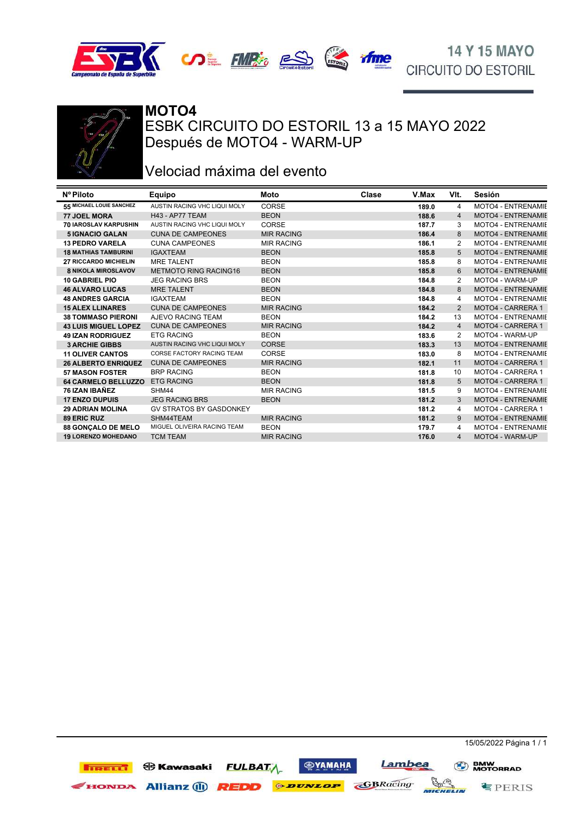





#### ESBK CIRCUITO DO ESTORIL 13 a 15 MAYO 2022 **MOTO4** Después de MOTO4 - WARM-UP

#### Velociad máxima del evento

| Nº Piloto                   | Equipo                              | Moto              | Clase | V.Max | VIt.           | Sesión                    |
|-----------------------------|-------------------------------------|-------------------|-------|-------|----------------|---------------------------|
| 55 MICHAEL LOUIE SANCHEZ    | AUSTIN RACING VHC LIQUI MOLY        | CORSE             |       | 189.0 | 4              | <b>MOTO4 - ENTRENAMIE</b> |
| <b>77 JOEL MORA</b>         | <b>H43 - AP77 TEAM</b>              | <b>BEON</b>       |       | 188.6 | 4              | <b>MOTO4 - ENTRENAMIE</b> |
| 70 IAROSLAV KARPUSHIN       | AUSTIN RACING VHC LIQUI MOLY        | CORSE             |       | 187.7 | 3              | <b>MOTO4 - ENTRENAMIE</b> |
| <b>5 IGNACIO GALAN</b>      | <b>CUNA DE CAMPEONES</b>            | <b>MIR RACING</b> |       | 186.4 | 8              | <b>MOTO4 - ENTRENAMIE</b> |
| <b>13 PEDRO VARELA</b>      | <b>CUNA CAMPEONES</b>               | <b>MIR RACING</b> |       | 186.1 | 2              | <b>MOTO4 - ENTRENAMIE</b> |
| <b>18 MATHIAS TAMBURINI</b> | <b>IGAXTEAM</b>                     | <b>BEON</b>       |       | 185.8 | 5              | <b>MOTO4 - ENTRENAMIE</b> |
| 27 RICCARDO MICHIELIN       | <b>MRE TALENT</b>                   | <b>BEON</b>       |       | 185.8 | 8              | <b>MOTO4 - ENTRENAMIE</b> |
| <b>8 NIKOLA MIROSLAVOV</b>  | <b>METMOTO RING RACING16</b>        | <b>BEON</b>       |       | 185.8 | 6              | <b>MOTO4 - ENTRENAMIE</b> |
| <b>10 GABRIEL PIO</b>       | <b>JEG RACING BRS</b>               | <b>BEON</b>       |       | 184.8 | 2              | MOTO4 - WARM-UP           |
| <b>46 ALVARO LUCAS</b>      | <b>MRE TALENT</b>                   | <b>BEON</b>       |       | 184.8 | 8              | <b>MOTO4 - ENTRENAMIE</b> |
| <b>48 ANDRES GARCIA</b>     | <b>IGAXTEAM</b>                     | <b>BEON</b>       |       | 184.8 | 4              | <b>MOTO4 - ENTRENAMIE</b> |
| <b>15 ALEX LLINARES</b>     | <b>CUNA DE CAMPEONES</b>            | <b>MIR RACING</b> |       | 184.2 | 2              | MOTO4 - CARRERA 1         |
| <b>38 TOMMASO PIERONI</b>   | AJEVO RACING TEAM                   | <b>BEON</b>       |       | 184.2 | 13             | <b>MOTO4 - ENTRENAMIE</b> |
| <b>43 LUIS MIGUEL LOPEZ</b> | <b>CUNA DE CAMPEONES</b>            | <b>MIR RACING</b> |       | 184.2 | 4              | MOTO4 - CARRERA 1         |
| <b>49 IZAN RODRIGUEZ</b>    | <b>ETG RACING</b>                   | <b>BEON</b>       |       | 183.6 | 2              | MOTO4 - WARM-UP           |
| <b>3 ARCHIE GIBBS</b>       | <b>AUSTIN RACING VHC LIQUI MOLY</b> | <b>CORSE</b>      |       | 183.3 | 13             | <b>MOTO4 - ENTRENAMIE</b> |
| <b>11 OLIVER CANTOS</b>     | <b>CORSE FACTORY RACING TEAM</b>    | CORSE             |       | 183.0 | 8              | <b>MOTO4 - ENTRENAMIE</b> |
| <b>26 ALBERTO ENRIQUEZ</b>  | <b>CUNA DE CAMPEONES</b>            | <b>MIR RACING</b> |       | 182.1 | 11             | MOTO4 - CARRERA 1         |
| <b>57 MASON FOSTER</b>      | <b>BRP RACING</b>                   | <b>BEON</b>       |       | 181.8 | 10             | MOTO4 - CARRERA 1         |
| <b>64 CARMELO BELLUZZO</b>  | <b>ETG RACING</b>                   | <b>BEON</b>       |       | 181.8 | 5              | MOTO4 - CARRERA 1         |
| 76 IZAN IBAÑEZ              | SHM44                               | <b>MIR RACING</b> |       | 181.5 | 9              | <b>MOTO4 - ENTRENAMIE</b> |
| <b>17 ENZO DUPUIS</b>       | <b>JEG RACING BRS</b>               | <b>BEON</b>       |       | 181.2 | 3              | <b>MOTO4 - ENTRENAMIE</b> |
| <b>29 ADRIAN MOLINA</b>     | <b>GV STRATOS BY GASDONKEY</b>      |                   |       | 181.2 | 4              | MOTO4 - CARRERA 1         |
| 89 ERIC RUZ                 | SHM44TEAM                           | <b>MIR RACING</b> |       | 181.2 | 9              | <b>MOTO4 - ENTRENAMIE</b> |
| <b>88 GONÇALO DE MELO</b>   | MIGUEL OLIVEIRA RACING TEAM         | <b>BEON</b>       |       | 179.7 | 4              | <b>MOTO4 - ENTRENAMIE</b> |
| <b>19 LORENZO MOHEDANO</b>  | <b>TCM TEAM</b>                     | <b>MIR RACING</b> |       | 176.0 | $\overline{4}$ | MOTO4 - WARM-UP           |
|                             |                                     |                   |       |       |                |                           |

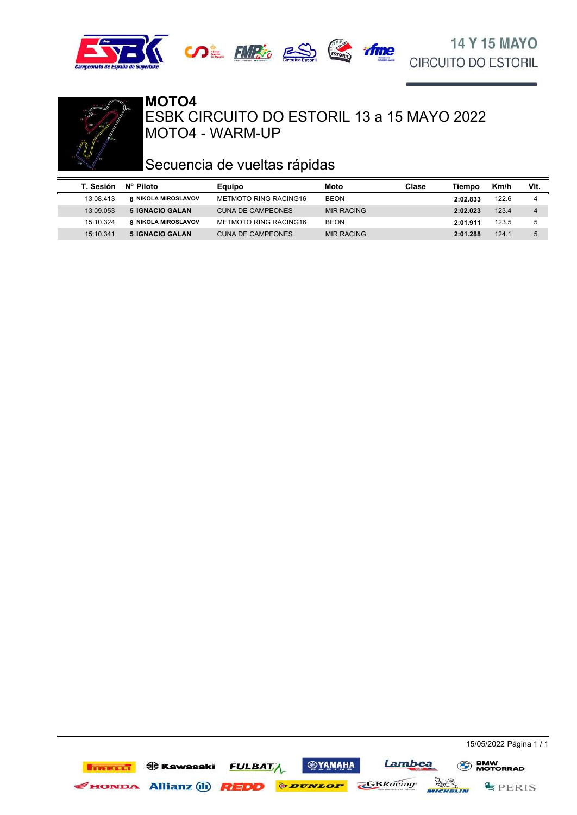





# **MOTO4**

MOTO4 - WARM-UP ESBK CIRCUITO DO ESTORIL 13 a 15 MAYO 2022

## Secuencia de vueltas rápidas

| T. Sesión | Nº Piloto                  | Equipo                       | Moto        | Clase | Tiempo   | Km/h  | VIt.           |
|-----------|----------------------------|------------------------------|-------------|-------|----------|-------|----------------|
| 13:08.413 | <b>8 NIKOLA MIROSLAVOV</b> | <b>METMOTO RING RACING16</b> | <b>BEON</b> |       | 2:02.833 | 122.6 |                |
| 13:09.053 | <b>5 IGNACIO GALAN</b>     | <b>CUNA DE CAMPEONES</b>     | MIR RACING  |       | 2:02.023 | 123.4 | $\overline{4}$ |
| 15:10.324 | <b>8 NIKOLA MIROSLAVOV</b> | <b>METMOTO RING RACING16</b> | <b>BEON</b> |       | 2:01.911 | 123.5 | 5              |
| 15:10.341 | 5 IGNACIO GALAN            | CUNA DE CAMPEONES            | MIR RACING  |       | 2:01.288 | 124.1 | 5              |

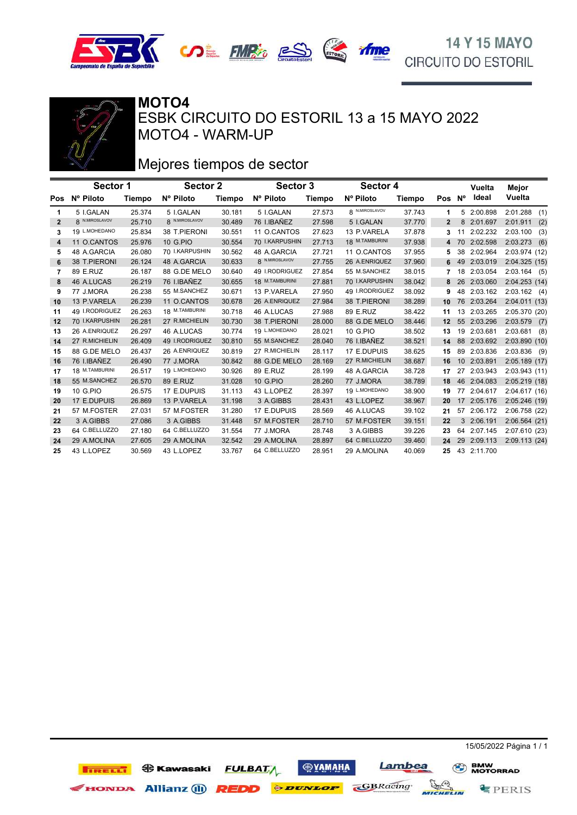



## **14 Y 15 MAYO CIRCUITO DO ESTORIL**

## **MOTO4**

MOTO4 - WARM-UP ESBK CIRCUITO DO ESTORIL 13 a 15 MAYO 2022

## Mejores tiempos de sector

|                | Sector 1       |               | Sector 2        |        | Sector 3       |        | Sector 4       |        |                |    | Vuelta      | Mejor           |
|----------------|----------------|---------------|-----------------|--------|----------------|--------|----------------|--------|----------------|----|-------------|-----------------|
| Pos            | Nº Piloto      | <b>Tiempo</b> | Nº Piloto       | Tiempo | Nº Piloto      | Tiempo | Nº Piloto      | Tiempo | Pos Nº         |    | Ideal       | Vuelta          |
| 1              | 5 I.GALAN      | 25.374        | 5 I.GALAN       | 30.181 | 5 I.GALAN      | 27.573 | 8 N.MIROSLAVOV | 37.743 | 1              |    | 5 2:00.898  | 2:01.288<br>(1) |
| $\overline{2}$ | 8 N.MIROSLAVOV | 25.710        | 8 N.MIROSLAVOV  | 30.489 | 76 I.IBAÑEZ    | 27.598 | 5 I.GALAN      | 37.770 | $\mathbf{2}$   |    | 8 2:01.697  | 2:01.911<br>(2) |
| 3              | 19 L.MOHEDANO  | 25.834        | 38 T.PIERONI    | 30.551 | 11 O.CANTOS    | 27.623 | 13 P.VARELA    | 37.878 | 3              | 11 | 2:02.232    | 2:03.100<br>(3) |
| 4              | 11 O.CANTOS    | 25.976        | 10 G.PIO        | 30.554 | 70 I.KARPUSHIN | 27.713 | 18 M.TAMBURINI | 37.938 | $\overline{4}$ | 70 | 2:02.598    | 2:03.273<br>(6) |
| 5              | 48 A.GARCIA    | 26.080        | 70 I.KARPUSHIN  | 30.562 | 48 A.GARCIA    | 27.721 | 11 O.CANTOS    | 37.955 | 5              | 38 | 2:02.964    | 2:03.974 (12)   |
| 6              | 38 T.PIERONI   | 26.124        | 48 A.GARCIA     | 30.633 | 8 N.MIROSLAVOV | 27.755 | 26 A.ENRIQUEZ  | 37.960 | 6              |    | 49 2:03.019 | 2:04.325(15)    |
| 7              | 89 E.RUZ       | 26.187        | 88 G.DE MELO    | 30.640 | 49 I.RODRIGUEZ | 27.854 | 55 M.SANCHEZ   | 38.015 |                | 18 | 2:03.054    | $2:03.164$ (5)  |
| 8              | 46 A.LUCAS     | 26.219        | 76 I.IBAÑEZ     | 30.655 | 18 M.TAMBURINI | 27.881 | 70 I.KARPUSHIN | 38.042 | 8              |    | 26 2:03.060 | 2:04.253(14)    |
| 9              | 77 J.MORA      | 26.238        | 55 M.SANCHEZ    | 30.671 | 13 P.VARELA    | 27.950 | 49 I.RODRIGUEZ | 38.092 | 9              |    | 48 2:03.162 | $2:03.162$ (4)  |
| 10             | 13 P.VARELA    | 26.239        | 11 O.CANTOS     | 30.678 | 26 A.ENRIQUEZ  | 27.984 | 38 T.PIERONI   | 38.289 | 10             |    | 76 2:03.264 | 2:04.011 (13)   |
| 11             | 49 I.RODRIGUEZ | 26.263        | 18 M.TAMBURINI  | 30.718 | 46 A.LUCAS     | 27.988 | 89 E.RUZ       | 38.422 | 11             | 13 | 2:03.265    | 2:05.370 (20)   |
| 12             | 70 I.KARPUSHIN | 26.281        | 27 R.MICHIELIN  | 30.730 | 38 T.PIERONI   | 28,000 | 88 G.DE MELO   | 38.446 | 12             |    | 55 2:03.296 | 2:03.579<br>(7) |
| 13             | 26 A.ENRIQUEZ  | 26.297        | 46 A.LUCAS      | 30.774 | 19 L.MOHEDANO  | 28.021 | 10 G.PIO       | 38.502 | 13             | 19 | 2:03.681    | 2:03.681<br>(8) |
| 14             | 27 R.MICHIELIN | 26.409        | 49 I.RODRIGUEZ  | 30.810 | 55 M.SANCHEZ   | 28.040 | 76 I.IBAÑEZ    | 38.521 | 14             |    | 88 2:03.692 | 2:03.890 (10)   |
| 15             | 88 G.DE MELO   | 26.437        | 26 A.ENRIQUEZ   | 30.819 | 27 R.MICHIELIN | 28.117 | 17 E.DUPUIS    | 38.625 | 15             |    | 89 2:03.836 | $2:03.836$ (9)  |
| 16             | 76 I.IBAÑEZ    | 26.490        | 77 J.MORA       | 30.842 | 88 G.DE MELO   | 28.169 | 27 R.MICHIELIN | 38.687 | 16             |    | 10 2:03.891 | 2:05.189 (17)   |
| 17             | 18 M.TAMBURINI | 26.517        | 19 L.MOHEDANO   | 30.926 | 89 E.RUZ       | 28.199 | 48 A.GARCIA    | 38.728 | 17             | 27 | 2:03.943    | 2:03.943 (11)   |
| 18             | 55 M.SANCHEZ   | 26.570        | <b>89 E.RUZ</b> | 31.028 | 10 G.PIO       | 28.260 | 77 J.MORA      | 38.789 | 18             |    | 46 2:04.083 | 2:05.219 (18)   |
| 19             | 10 G.PIO       | 26.575        | 17 E.DUPUIS     | 31.113 | 43 L.LOPEZ     | 28.397 | 19 L.MOHEDANO  | 38.900 | 19             | 77 | 2:04.617    | 2:04.617 (16)   |
| 20             | 17 E.DUPUIS    | 26.869        | 13 P.VARELA     | 31.198 | 3 A.GIBBS      | 28.431 | 43 L.LOPEZ     | 38.967 | 20             | 17 | 2:05.176    | 2:05.246 (19)   |
| 21             | 57 M.FOSTER    | 27.031        | 57 M.FOSTER     | 31.280 | 17 E.DUPUIS    | 28.569 | 46 A.LUCAS     | 39.102 | 21             | 57 | 2:06.172    | 2:06.758 (22)   |
| 22             | 3 A.GIBBS      | 27.086        | 3 A.GIBBS       | 31.448 | 57 M.FOSTER    | 28.710 | 57 M.FOSTER    | 39.151 | 22             |    | 3 2:06.191  | 2:06.564(21)    |
| 23             | 64 C.BELLUZZO  | 27.180        | 64 C.BELLUZZO   | 31.554 | 77 J.MORA      | 28.748 | 3 A.GIBBS      | 39.226 | 23             | 64 | 2:07.145    | 2:07.610 (23)   |
| 24             | 29 A.MOLINA    | 27.605        | 29 A.MOLINA     | 32.542 | 29 A.MOLINA    | 28.897 | 64 C.BELLUZZO  | 39.460 | 24             |    | 29 2:09.113 | 2:09.113 (24)   |
| 25             | 43 L.LOPEZ     | 30.569        | 43 L.LOPEZ      | 33.767 | 64 C.BELLUZZO  | 28.951 | 29 A.MOLINA    | 40.069 | 25             |    | 43 2:11.700 |                 |